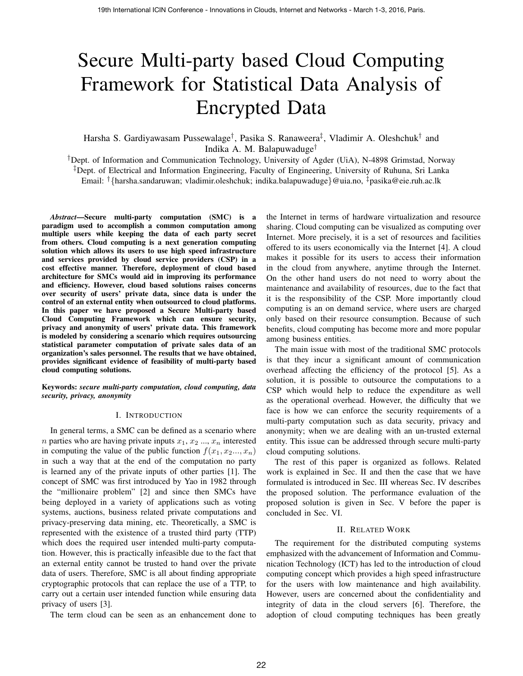# Secure Multi-party based Cloud Computing Framework for Statistical Data Analysis of Encrypted Data

Harsha S. Gardiyawasam Pussewalage<sup>†</sup>, Pasika S. Ranaweera<sup>‡</sup>, Vladimir A. Oleshchuk<sup>†</sup> and Indika A. M. Balapuwaduge†

†Dept. of Information and Communication Technology, University of Agder (UiA), N-4898 Grimstad, Norway ‡Dept. of Electrical and Information Engineering, Faculty of Engineering, University of Ruhuna, Sri Lanka Email: †{harsha.sandaruwan; vladimir.oleshchuk; indika.balapuwaduge}@uia.no, ‡pasika@eie.ruh.ac.lk

*Abstract*—Secure multi-party computation (SMC) is a paradigm used to accomplish a common computation among multiple users while keeping the data of each party secret from others. Cloud computing is a next generation computing solution which allows its users to use high speed infrastructure and services provided by cloud service providers (CSP) in a cost effective manner. Therefore, deployment of cloud based architecture for SMCs would aid in improving its performance and efficiency. However, cloud based solutions raises concerns over security of users' private data, since data is under the control of an external entity when outsourced to cloud platforms. In this paper we have proposed a Secure Multi-party based Cloud Computing Framework which can ensure security, privacy and anonymity of users' private data. This framework is modeled by considering a scenario which requires outsourcing statistical parameter computation of private sales data of an organization's sales personnel. The results that we have obtained, provides significant evidence of feasibility of multi-party based cloud computing solutions.

Keywords: *secure multi-party computation, cloud computing, data security, privacy, anonymity*

## I. INTRODUCTION

In general terms, a SMC can be defined as a scenario where *n* parties who are having private inputs  $x_1, x_2, ..., x_n$  interested in computing the value of the public function  $f(x_1, x_2, \ldots, x_n)$ in such a way that at the end of the computation no party is learned any of the private inputs of other parties [1]. The concept of SMC was first introduced by Yao in 1982 through the "millionaire problem" [2] and since then SMCs have being deployed in a variety of applications such as voting systems, auctions, business related private computations and privacy-preserving data mining, etc. Theoretically, a SMC is represented with the existence of a trusted third party (TTP) which does the required user intended multi-party computation. However, this is practically infeasible due to the fact that an external entity cannot be trusted to hand over the private data of users. Therefore, SMC is all about finding appropriate cryptographic protocols that can replace the use of a TTP, to carry out a certain user intended function while ensuring data privacy of users [3].

The term cloud can be seen as an enhancement done to

the Internet in terms of hardware virtualization and resource sharing. Cloud computing can be visualized as computing over Internet. More precisely, it is a set of resources and facilities offered to its users economically via the Internet [4]. A cloud makes it possible for its users to access their information in the cloud from anywhere, anytime through the Internet. On the other hand users do not need to worry about the maintenance and availability of resources, due to the fact that it is the responsibility of the CSP. More importantly cloud computing is an on demand service, where users are charged only based on their resource consumption. Because of such benefits, cloud computing has become more and more popular among business entities.

The main issue with most of the traditional SMC protocols is that they incur a significant amount of communication overhead affecting the efficiency of the protocol [5]. As a solution, it is possible to outsource the computations to a CSP which would help to reduce the expenditure as well as the operational overhead. However, the difficulty that we face is how we can enforce the security requirements of a multi-party computation such as data security, privacy and anonymity; when we are dealing with an un-trusted external entity. This issue can be addressed through secure multi-party cloud computing solutions.

The rest of this paper is organized as follows. Related work is explained in Sec. II and then the case that we have formulated is introduced in Sec. III whereas Sec. IV describes the proposed solution. The performance evaluation of the proposed solution is given in Sec. V before the paper is concluded in Sec. VI.

## II. RELATED WORK

The requirement for the distributed computing systems emphasized with the advancement of Information and Communication Technology (ICT) has led to the introduction of cloud computing concept which provides a high speed infrastructure for the users with low maintenance and high availability. However, users are concerned about the confidentiality and integrity of data in the cloud servers [6]. Therefore, the adoption of cloud computing techniques has been greatly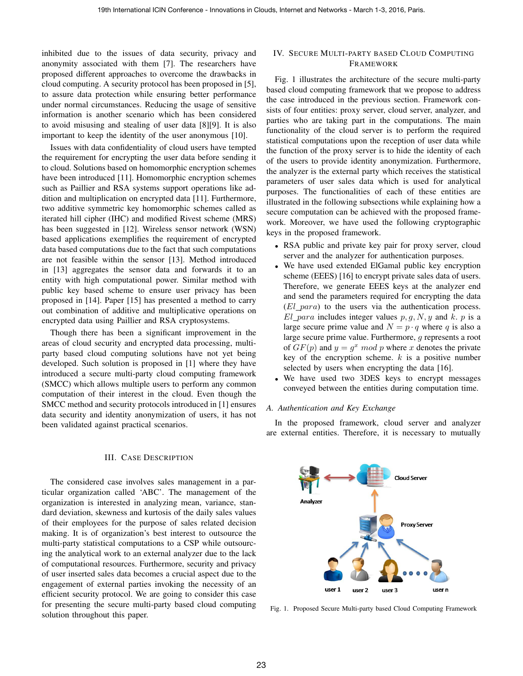inhibited due to the issues of data security, privacy and anonymity associated with them [7]. The researchers have proposed different approaches to overcome the drawbacks in cloud computing. A security protocol has been proposed in [5], to assure data protection while ensuring better performance under normal circumstances. Reducing the usage of sensitive information is another scenario which has been considered to avoid misusing and stealing of user data [8][9]. It is also important to keep the identity of the user anonymous [10].

Issues with data confidentiality of cloud users have tempted the requirement for encrypting the user data before sending it to cloud. Solutions based on homomorphic encryption schemes have been introduced [11]. Homomorphic encryption schemes such as Paillier and RSA systems support operations like addition and multiplication on encrypted data [11]. Furthermore, two additive symmetric key homomorphic schemes called as iterated hill cipher (IHC) and modified Rivest scheme (MRS) has been suggested in [12]. Wireless sensor network (WSN) based applications exemplifies the requirement of encrypted data based computations due to the fact that such computations are not feasible within the sensor [13]. Method introduced in [13] aggregates the sensor data and forwards it to an entity with high computational power. Similar method with public key based scheme to ensure user privacy has been proposed in [14]. Paper [15] has presented a method to carry out combination of additive and multiplicative operations on encrypted data using Paillier and RSA cryptosystems.

Though there has been a significant improvement in the areas of cloud security and encrypted data processing, multiparty based cloud computing solutions have not yet being developed. Such solution is proposed in [1] where they have introduced a secure multi-party cloud computing framework (SMCC) which allows multiple users to perform any common computation of their interest in the cloud. Even though the SMCC method and security protocols introduced in [1] ensures data security and identity anonymization of users, it has not been validated against practical scenarios.

#### III. CASE DESCRIPTION

The considered case involves sales management in a particular organization called 'ABC'. The management of the organization is interested in analyzing mean, variance, standard deviation, skewness and kurtosis of the daily sales values of their employees for the purpose of sales related decision making. It is of organization's best interest to outsource the multi-party statistical computations to a CSP while outsourcing the analytical work to an external analyzer due to the lack of computational resources. Furthermore, security and privacy of user inserted sales data becomes a crucial aspect due to the engagement of external parties invoking the necessity of an efficient security protocol. We are going to consider this case for presenting the secure multi-party based cloud computing solution throughout this paper.

# IV. SECURE MULTI-PARTY BASED CLOUD COMPUTING FRAMEWORK

Fig. 1 illustrates the architecture of the secure multi-party based cloud computing framework that we propose to address the case introduced in the previous section. Framework consists of four entities: proxy server, cloud server, analyzer, and parties who are taking part in the computations. The main functionality of the cloud server is to perform the required statistical computations upon the reception of user data while the function of the proxy server is to hide the identity of each of the users to provide identity anonymization. Furthermore, the analyzer is the external party which receives the statistical parameters of user sales data which is used for analytical purposes. The functionalities of each of these entities are illustrated in the following subsections while explaining how a secure computation can be achieved with the proposed framework. Moreover, we have used the following cryptographic keys in the proposed framework.

- RSA public and private key pair for proxy server, cloud server and the analyzer for authentication purposes.
- We have used extended ElGamal public key encryption scheme (EEES) [16] to encrypt private sales data of users. Therefore, we generate EEES keys at the analyzer end and send the parameters required for encrypting the data  $(El\_para)$  to the users via the authentication process.  $El\_para$  includes integer values p, q, N, y and k. p is a large secure prime value and  $N = p \cdot q$  where q is also a large secure prime value. Furthermore, g represents a root of  $GF(p)$  and  $y = g^x \mod p$  where x denotes the private key of the encryption scheme.  $k$  is a positive number selected by users when encrypting the data [16].
- We have used two 3DES keys to encrypt messages conveyed between the entities during computation time.

# *A. Authentication and Key Exchange*

In the proposed framework, cloud server and analyzer are external entities. Therefore, it is necessary to mutually



Fig. 1. Proposed Secure Multi-party based Cloud Computing Framework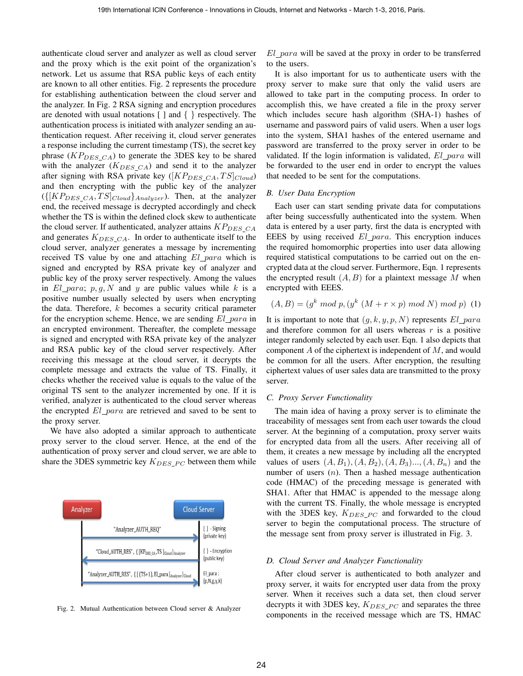authenticate cloud server and analyzer as well as cloud server and the proxy which is the exit point of the organization's network. Let us assume that RSA public keys of each entity are known to all other entities. Fig. 2 represents the procedure for establishing authentication between the cloud server and the analyzer. In Fig. 2 RSA signing and encryption procedures are denoted with usual notations  $\lceil \cdot \rceil$  and  $\lceil \cdot \rceil$  respectively. The authentication process is initiated with analyzer sending an authentication request. After receiving it, cloud server generates a response including the current timestamp (TS), the secret key phrase  $(KP_{DES CA})$  to generate the 3DES key to be shared with the analyzer  $(K_{DES\_CA})$  and send it to the analyzer after signing with RSA private key ([ $KP_{DES\_CA}, TS$ ] $_{Cloud}$ ) and then encrypting with the public key of the analyzer  $({\{[KP_{DES\_CA}, TS]_{Cloud}\}}_{Analyzer})$ . Then, at the analyzer end, the received message is decrypted accordingly and check whether the TS is within the defined clock skew to authenticate the cloud server. If authenticated, analyzer attains  $KP_{DES\ CA}$ and generates  $K_{DES\_CA}$ . In order to authenticate itself to the cloud server, analyzer generates a message by incrementing received TS value by one and attaching El para which is signed and encrypted by RSA private key of analyzer and public key of the proxy server respectively. Among the values in  $El\_para$ ;  $p, q, N$  and y are public values while k is a positive number usually selected by users when encrypting the data. Therefore,  $k$  becomes a security critical parameter for the encryption scheme. Hence, we are sending  $El\_para$  in an encrypted environment. Thereafter, the complete message is signed and encrypted with RSA private key of the analyzer and RSA public key of the cloud server respectively. After receiving this message at the cloud server, it decrypts the complete message and extracts the value of TS. Finally, it checks whether the received value is equals to the value of the original TS sent to the analyzer incremented by one. If it is verified, analyzer is authenticated to the cloud server whereas the encrypted  $El\_para$  are retrieved and saved to be sent to the proxy server.

We have also adopted a similar approach to authenticate proxy server to the cloud server. Hence, at the end of the authentication of proxy server and cloud server, we are able to share the 3DES symmetric key  $K_{DES\_PC}$  between them while



Fig. 2. Mutual Authentication between Cloud server & Analyzer

El para will be saved at the proxy in order to be transferred to the users.

It is also important for us to authenticate users with the proxy server to make sure that only the valid users are allowed to take part in the computing process. In order to accomplish this, we have created a file in the proxy server which includes secure hash algorithm (SHA-1) hashes of username and password pairs of valid users. When a user logs into the system, SHA1 hashes of the entered username and password are transferred to the proxy server in order to be validated. If the login information is validated,  $El\_para$  will be forwarded to the user end in order to encrypt the values that needed to be sent for the computations.

#### *B. User Data Encryption*

Each user can start sending private data for computations after being successfully authenticated into the system. When data is entered by a user party, first the data is encrypted with EEES by using received El para. This encryption induces the required homomorphic properties into user data allowing required statistical computations to be carried out on the encrypted data at the cloud server. Furthermore, Eqn. 1 represents the encrypted result  $(A, B)$  for a plaintext message M when encrypted with EEES.

$$
(A, B) = (g^k \mod p, (y^k (M + r \times p) \mod N) \mod p)
$$
 (1)

It is important to note that  $(g, k, y, p, N)$  represents  $El\_para$ and therefore common for all users whereas  $r$  is a positive integer randomly selected by each user. Eqn. 1 also depicts that component  $A$  of the ciphertext is independent of  $M$ , and would be common for all the users. After encryption, the resulting ciphertext values of user sales data are transmitted to the proxy server.

### *C. Proxy Server Functionality*

The main idea of having a proxy server is to eliminate the traceability of messages sent from each user towards the cloud server. At the beginning of a computation, proxy server waits for encrypted data from all the users. After receiving all of them, it creates a new message by including all the encrypted values of users  $(A, B_1), (A, B_2), (A, B_3), (A, B_n)$  and the number of users  $(n)$ . Then a hashed message authentication code (HMAC) of the preceding message is generated with SHA1. After that HMAC is appended to the message along with the current TS. Finally, the whole message is encrypted with the 3DES key,  $K_{DES\ PC}$  and forwarded to the cloud server to begin the computational process. The structure of the message sent from proxy server is illustrated in Fig. 3.

#### *D. Cloud Server and Analyzer Functionality*

After cloud server is authenticated to both analyzer and proxy server, it waits for encrypted user data from the proxy server. When it receives such a data set, then cloud server decrypts it with 3DES key,  $K_{DES\_PC}$  and separates the three components in the received message which are TS, HMAC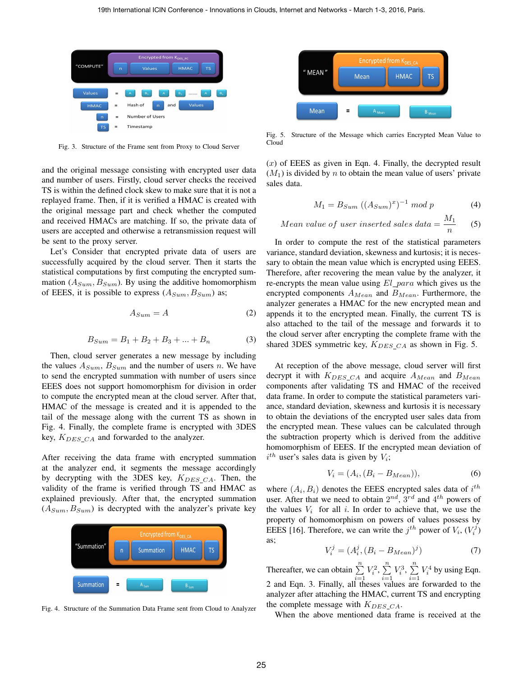

Fig. 3. Structure of the Frame sent from Proxy to Cloud Server

and the original message consisting with encrypted user data and number of users. Firstly, cloud server checks the received TS is within the defined clock skew to make sure that it is not a replayed frame. Then, if it is verified a HMAC is created with the original message part and check whether the computed and received HMACs are matching. If so, the private data of users are accepted and otherwise a retransmission request will be sent to the proxy server.

Let's Consider that encrypted private data of users are successfully acquired by the cloud server. Then it starts the statistical computations by first computing the encrypted summation  $(A_{Sum}, B_{Sum})$ . By using the additive homomorphism of EEES, it is possible to express  $(A_{Sum}, B_{Sum})$  as;

$$
A_{Sum} = A \tag{2}
$$

$$
B_{Sum} = B_1 + B_2 + B_3 + \dots + B_n \tag{3}
$$

Then, cloud server generates a new message by including the values  $A_{Sum}$ ,  $B_{Sum}$  and the number of users n. We have to send the encrypted summation with number of users since EEES does not support homomorphism for division in order to compute the encrypted mean at the cloud server. After that, HMAC of the message is created and it is appended to the tail of the message along with the current TS as shown in Fig. 4. Finally, the complete frame is encrypted with 3DES key,  $K_{DES_{CA}}$  and forwarded to the analyzer.

After receiving the data frame with encrypted summation at the analyzer end, it segments the message accordingly by decrypting with the 3DES key,  $K_{DES\_CA}$ . Then, the validity of the frame is verified through TS and HMAC as explained previously. After that, the encrypted summation  $(A_{Sum}, B_{Sum})$  is decrypted with the analyzer's private key



Fig. 4. Structure of the Summation Data Frame sent from Cloud to Analyzer



Fig. 5. Structure of the Message which carries Encrypted Mean Value to Cloud

 $(x)$  of EEES as given in Eqn. 4. Finally, the decrypted result  $(M_1)$  is divided by n to obtain the mean value of users' private sales data.

$$
M_1 = B_{Sum} ((A_{Sum})^x)^{-1} \mod p \tag{4}
$$

Mean value of user inserted sales data = 
$$
\frac{M_1}{n}
$$
 (5)

In order to compute the rest of the statistical parameters variance, standard deviation, skewness and kurtosis; it is necessary to obtain the mean value which is encrypted using EEES. Therefore, after recovering the mean value by the analyzer, it re-encrypts the mean value using  $El\_para$  which gives us the encrypted components  $A_{Mean}$  and  $B_{Mean}$ . Furthermore, the analyzer generates a HMAC for the new encrypted mean and appends it to the encrypted mean. Finally, the current TS is also attached to the tail of the message and forwards it to the cloud server after encrypting the complete frame with the shared 3DES symmetric key,  $K_{DES\_CA}$  as shown in Fig. 5.

At reception of the above message, cloud server will first decrypt it with  $K_{DES\_CA}$  and acquire  $A_{Mean}$  and  $B_{Mean}$ components after validating TS and HMAC of the received data frame. In order to compute the statistical parameters variance, standard deviation, skewness and kurtosis it is necessary to obtain the deviations of the encrypted user sales data from the encrypted mean. These values can be calculated through the subtraction property which is derived from the additive homomorphism of EEES. If the encrypted mean deviation of  $i^{th}$  user's sales data is given by  $V_i$ ;

$$
V_i = (A_i, (B_i - B_{Mean})), \tag{6}
$$

where  $(A_i, B_i)$  denotes the EEES encrypted sales data of  $i^{th}$ user. After that we need to obtain  $2^{nd}$ ,  $3^{rd}$  and  $4^{th}$  powers of the values  $V_i$  for all i. In order to achieve that, we use the property of homomorphism on powers of values possess by EEES [16]. Therefore, we can write the  $j^{th}$  power of  $V_i$ ,  $(V_i^j)$ as;

$$
V_i^j = (A_i^j, (B_i - B_{Mean})^j)
$$
 (7)

Thereafter, we can obtain  $\sum_{i=1}^{n}$  $V_i^2$ ,  $\sum^n$  $i=1$  $V_i^3$ ,  $\sum^n$  $i=1$  $V_i^4$  by using Eqn. 2 and Eqn. 3. Finally, all theses values are forwarded to the analyzer after attaching the HMAC, current TS and encrypting the complete message with  $K_{DES_CAA}$ .

When the above mentioned data frame is received at the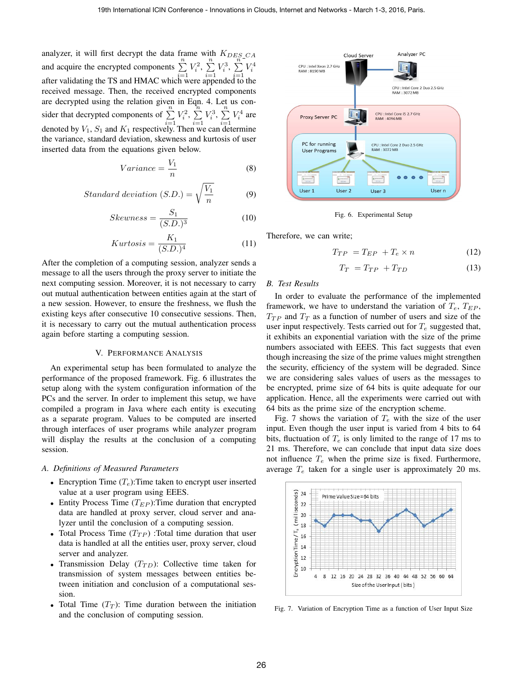analyzer, it will first decrypt the data frame with  $K_{DES\_CA}$ and acquire the encrypted components  $\sum_{i=1}^{n}$  $V_i^2$ ,  $\sum^n$  $i=1$  $V_i^3$ ,  $\sum_i^n$  $i=1$  $V_i^4$ after validating the TS and HMAC which were appended to the received message. Then, the received encrypted components are decrypted using the relation given in Eqn. 4. Let us consider that decrypted components of  $\sum_{i=1}^{n}$  $V_i^2$ ,  $\sum_{i=1}^{n}$  $i=1$  $V_i^3$ ,  $\sum_{i=1}^n$  $i=1$  $V_i^4$  are denoted by  $V_1$ ,  $S_1$  and  $K_1$  respectively. Then we can determine the variance, standard deviation, skewness and kurtosis of user inserted data from the equations given below.

$$
Variance = \frac{V_1}{n} \tag{8}
$$

Standard deviation (S.D.) = 
$$
\sqrt{\frac{V_1}{n}}
$$
 (9)

$$
Skewness = \frac{S_1}{(S.D.)^3} \tag{10}
$$

$$
Kurtosis = \frac{K_1}{(S.D.)^4} \tag{11}
$$

After the completion of a computing session, analyzer sends a message to all the users through the proxy server to initiate the next computing session. Moreover, it is not necessary to carry out mutual authentication between entities again at the start of a new session. However, to ensure the freshness, we flush the existing keys after consecutive 10 consecutive sessions. Then, it is necessary to carry out the mutual authentication process again before starting a computing session.

#### V. PERFORMANCE ANALYSIS

An experimental setup has been formulated to analyze the performance of the proposed framework. Fig. 6 illustrates the setup along with the system configuration information of the PCs and the server. In order to implement this setup, we have compiled a program in Java where each entity is executing as a separate program. Values to be computed are inserted through interfaces of user programs while analyzer program will display the results at the conclusion of a computing session.

## *A. Definitions of Measured Parameters*

- Encryption Time  $(T_e)$ : Time taken to encrypt user inserted value at a user program using EEES.
- Entity Process Time  $(T_{EP})$ : Time duration that encrypted data are handled at proxy server, cloud server and analyzer until the conclusion of a computing session.
- Total Process Time  $(T_{TP})$  : Total time duration that user data is handled at all the entities user, proxy server, cloud server and analyzer.
- Transmission Delay  $(T_{TD})$ : Collective time taken for transmission of system messages between entities between initiation and conclusion of a computational session.
- Total Time  $(T_T)$ : Time duration between the initiation and the conclusion of computing session.



Fig. 6. Experimental Setup

Therefore, we can write;

$$
T_{TP} = T_{EP} + T_e \times n \tag{12}
$$

$$
T_T = T_{TP} + T_{TD} \tag{13}
$$

### *B. Test Results*

In order to evaluate the performance of the implemented framework, we have to understand the variation of  $T_e$ ,  $T_{EP}$ ,  $T_{TP}$  and  $T_T$  as a function of number of users and size of the user input respectively. Tests carried out for  $T_e$  suggested that, it exhibits an exponential variation with the size of the prime numbers associated with EEES. This fact suggests that even though increasing the size of the prime values might strengthen the security, efficiency of the system will be degraded. Since we are considering sales values of users as the messages to be encrypted, prime size of 64 bits is quite adequate for our application. Hence, all the experiments were carried out with 64 bits as the prime size of the encryption scheme.

Fig. 7 shows the variation of  $T_e$  with the size of the user input. Even though the user input is varied from 4 bits to 64 bits, fluctuation of  $T_e$  is only limited to the range of 17 ms to 21 ms. Therefore, we can conclude that input data size does not influence  $T_e$  when the prime size is fixed. Furthermore, average  $T_e$  taken for a single user is approximately 20 ms.



Fig. 7. Variation of Encryption Time as a function of User Input Size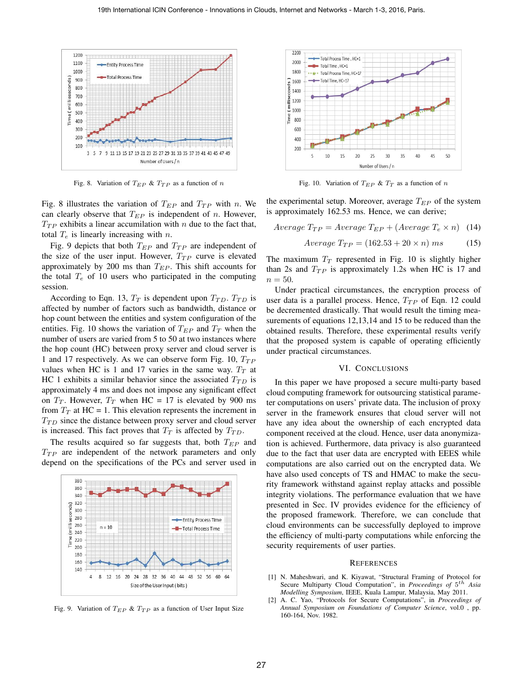

Fig. 8. Variation of  $T_{EP}$  &  $T_{TP}$  as a function of n

Fig. 8 illustrates the variation of  $T_{EP}$  and  $T_{TP}$  with n. We can clearly observe that  $T_{EP}$  is independent of n. However,  $T_{TP}$  exhibits a linear accumilation with n due to the fact that, total  $T_e$  is linearly increasing with n.

Fig. 9 depicts that both  $T_{EP}$  and  $T_{TP}$  are independent of the size of the user input. However,  $T_{TP}$  curve is elevated approximately by 200 ms than  $T_{EP}$ . This shift accounts for the total  $T_e$  of 10 users who participated in the computing session.

According to Eqn. 13,  $T_T$  is dependent upon  $T_{TD}$ .  $T_{TD}$  is affected by number of factors such as bandwidth, distance or hop count between the entities and system configuration of the entities. Fig. 10 shows the variation of  $T_{EP}$  and  $T_T$  when the number of users are varied from 5 to 50 at two instances where the hop count (HC) between proxy server and cloud server is 1 and 17 respectively. As we can observe form Fig. 10,  $T_{TP}$ values when HC is 1 and 17 varies in the same way.  $T_T$  at HC 1 exhibits a similar behavior since the associated  $T_{TD}$  is approximately 4 ms and does not impose any significant effect on  $T_T$ . However,  $T_T$  when HC = 17 is elevated by 900 ms from  $T_T$  at HC = 1. This elevation represents the increment in  $T_{TD}$  since the distance between proxy server and cloud server is increased. This fact proves that  $T_T$  is affected by  $T_{TD}$ .

The results acquired so far suggests that, both  $T_{EP}$  and  $T_{TP}$  are independent of the network parameters and only depend on the specifications of the PCs and server used in



Fig. 9. Variation of  $T_{EP}$  &  $T_{TP}$  as a function of User Input Size



Fig. 10. Variation of  $T_{EP}$  &  $T_T$  as a function of n

the experimental setup. Moreover, average  $T_{EP}$  of the system is approximately 162.53 ms. Hence, we can derive;

Average  $T_{TP} = Average T_{EP} + (Average T_e \times n)$  (14)

$$
Average T_{TP} = (162.53 + 20 \times n) ms \tag{15}
$$

The maximum  $T_T$  represented in Fig. 10 is slightly higher than 2s and  $T_{TP}$  is approximately 1.2s when HC is 17 and  $n = 50$ .

Under practical circumstances, the encryption process of user data is a parallel process. Hence,  $T_{TP}$  of Eqn. 12 could be decremented drastically. That would result the timing measurements of equations 12,13,14 and 15 to be reduced than the obtained results. Therefore, these experimental results verify that the proposed system is capable of operating efficiently under practical circumstances.

### VI. CONCLUSIONS

In this paper we have proposed a secure multi-party based cloud computing framework for outsourcing statistical parameter computations on users' private data. The inclusion of proxy server in the framework ensures that cloud server will not have any idea about the ownership of each encrypted data component received at the cloud. Hence, user data anonymization is achieved. Furthermore, data privacy is also guaranteed due to the fact that user data are encrypted with EEES while computations are also carried out on the encrypted data. We have also used concepts of TS and HMAC to make the security framework withstand against replay attacks and possible integrity violations. The performance evaluation that we have presented in Sec. IV provides evidence for the efficiency of the proposed framework. Therefore, we can conclude that cloud environments can be successfully deployed to improve the efficiency of multi-party computations while enforcing the security requirements of user parties.

#### **REFERENCES**

- [1] N. Maheshwari, and K. Kiyawat, "Structural Framing of Protocol for Secure Multiparty Cloud Computation", in *Proceedings of*  $5^{th}$  Asia *Modelling Symposium*, IEEE, Kuala Lampur, Malaysia, May 2011.
- [2] A. C. Yao, "Protocols for Secure Computations", in *Proceedings of Annual Symposium on Foundations of Computer Science*, vol.0 , pp. 160-164, Nov. 1982.